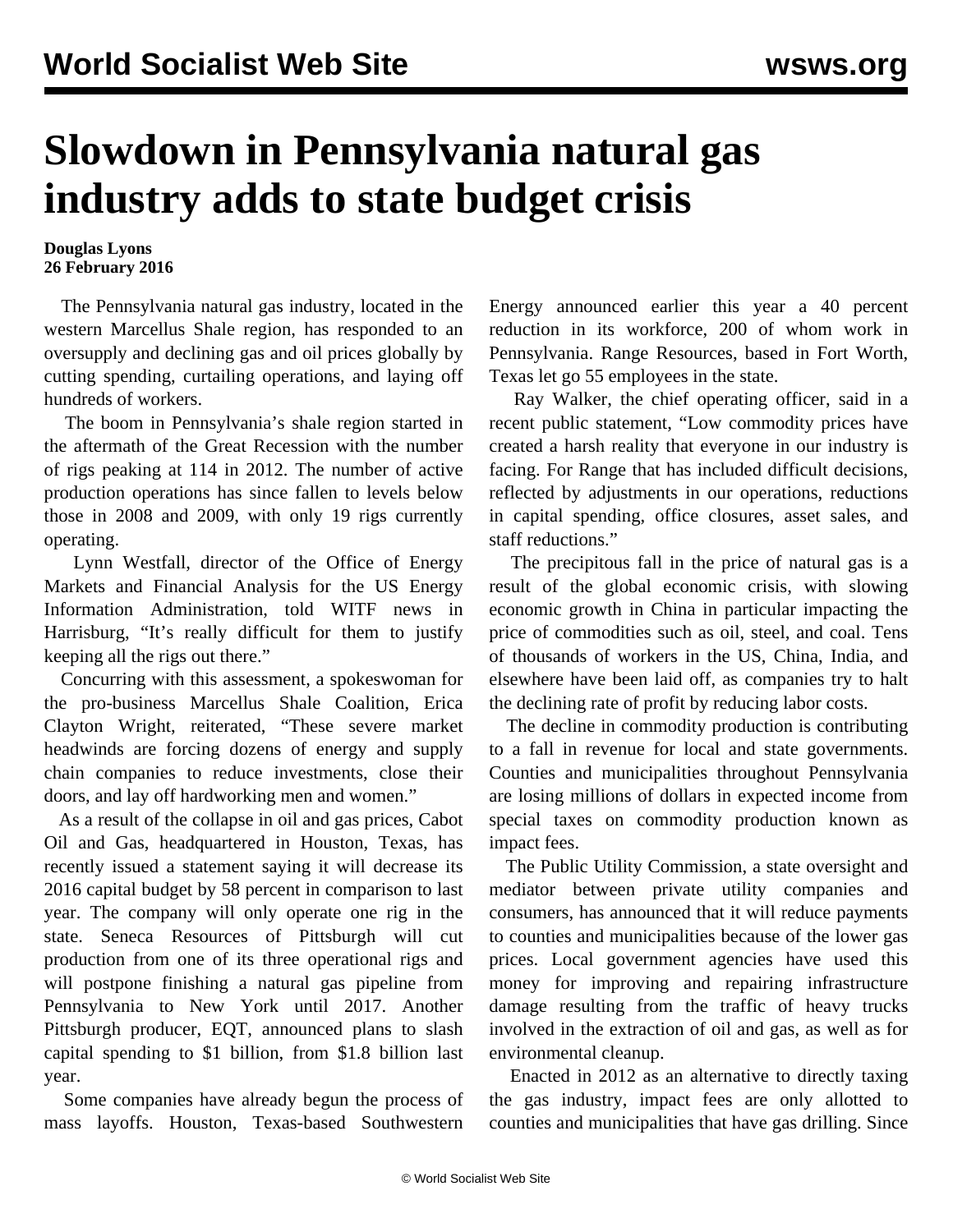## **Slowdown in Pennsylvania natural gas industry adds to state budget crisis**

## **Douglas Lyons 26 February 2016**

 The Pennsylvania natural gas industry, located in the western Marcellus Shale region, has responded to an oversupply and declining gas and oil prices globally by cutting spending, curtailing operations, and laying off hundreds of workers.

 The boom in Pennsylvania's shale region started in the aftermath of the Great Recession with the number of rigs peaking at 114 in 2012. The number of active production operations has since fallen to levels below those in 2008 and 2009, with only 19 rigs currently operating.

 Lynn Westfall, director of the Office of Energy Markets and Financial Analysis for the US Energy Information Administration, told WITF news in Harrisburg, "It's really difficult for them to justify keeping all the rigs out there."

 Concurring with this assessment, a spokeswoman for the pro-business Marcellus Shale Coalition, Erica Clayton Wright, reiterated, "These severe market headwinds are forcing dozens of energy and supply chain companies to reduce investments, close their doors, and lay off hardworking men and women."

 As a result of the collapse in oil and gas prices, Cabot Oil and Gas, headquartered in Houston, Texas, has recently issued a statement saying it will decrease its 2016 capital budget by 58 percent in comparison to last year. The company will only operate one rig in the state. Seneca Resources of Pittsburgh will cut production from one of its three operational rigs and will postpone finishing a natural gas pipeline from Pennsylvania to New York until 2017. Another Pittsburgh producer, EQT, announced plans to slash capital spending to \$1 billion, from \$1.8 billion last year.

 Some companies have already begun the process of mass layoffs. Houston, Texas-based Southwestern

Energy announced earlier this year a 40 percent reduction in its workforce, 200 of whom work in Pennsylvania. Range Resources, based in Fort Worth, Texas let go 55 employees in the state.

 Ray Walker, the chief operating officer, said in a recent public statement, "Low commodity prices have created a harsh reality that everyone in our industry is facing. For Range that has included difficult decisions, reflected by adjustments in our operations, reductions in capital spending, office closures, asset sales, and staff reductions."

 The precipitous fall in the price of natural gas is a result of the global economic crisis, with slowing economic growth in China in particular impacting the price of commodities such as oil, steel, and coal. Tens of thousands of workers in the US, China, India, and elsewhere have been laid off, as companies try to halt the declining rate of profit by reducing labor costs.

 The decline in commodity production is contributing to a fall in revenue for local and state governments. Counties and municipalities throughout Pennsylvania are losing millions of dollars in expected income from special taxes on commodity production known as impact fees.

 The Public Utility Commission, a state oversight and mediator between private utility companies and consumers, has announced that it will reduce payments to counties and municipalities because of the lower gas prices. Local government agencies have used this money for improving and repairing infrastructure damage resulting from the traffic of heavy trucks involved in the extraction of oil and gas, as well as for environmental cleanup.

 Enacted in 2012 as an alternative to directly taxing the gas industry, impact fees are only allotted to counties and municipalities that have gas drilling. Since